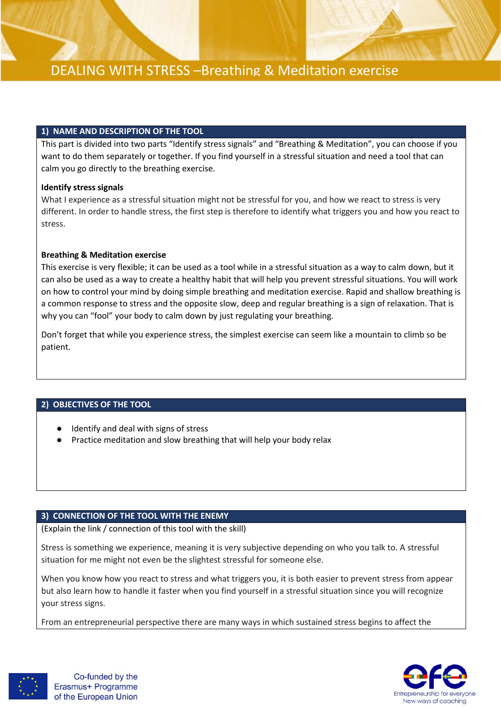

#### **1) NAME AND DESCRIPTION OF THE TOOL**

This part is divided into two parts "Identify stress signals" and "Breathing & Meditation", you can choose if you want to do them separately or together. If you find yourself in a stressful situation and need a tool that can calm you go directly to the breathing exercise.

#### **Identify stress signals**

What I experience as a stressful situation might not be stressful for you, and how we react to stress is very different. In order to handle stress, the first step is therefore to identify what triggers you and how you react to stress.

#### **Breathing & Meditation exercise**

This exercise is very flexible; it can be used as a tool while in a stressful situation as a way to calm down, but it can also be used as a way to create a healthy habit that will help you prevent stressful situations. You will work on how to control your mind by doing simple breathing and meditation exercise. Rapid and shallow breathing is a common response to stress and the opposite slow, deep and regular breathing is a sign of relaxation. That is why you can "fool" your body to calm down by just regulating your breathing.

Don't forget that while you experience stress, the simplest exercise can seem like a mountain to climb so be patient.

#### **2) OBJECTIVES OF THE TOOL**

- Identify and deal with signs of stress
- Practice meditation and slow breathing that will help your body relax

#### **3) CONNECTION OF THE TOOL WITH THE ENEMY**

(Explain the link / connection of this tool with the skill)

Stress is something we experience, meaning it is very subjective depending on who you talk to. A stressful situation for me might not even be the slightest stressful for someone else.

When you know how you react to stress and what triggers you, it is both easier to prevent stress from appear but also learn how to handle it faster when you find yourself in a stressful situation since you will recognize your stress signs.

From an entrepreneurial perspective there are many ways in which sustained stress begins to affect the



Co-funded by the Erasmus+ Programme of the European Union

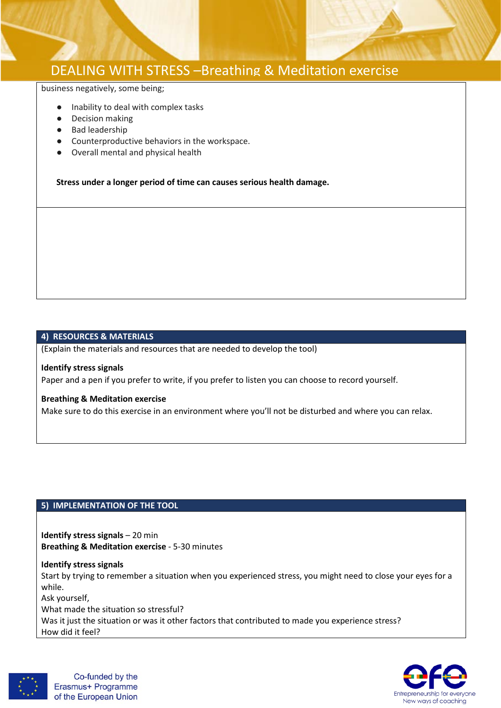

## DEALING WITH STRESS –Breathing & Meditation exercise

business negatively, some being;

- Inability to deal with complex tasks
- Decision making
- Bad leadership
- Counterproductive behaviors in the workspace.
- Overall mental and physical health

**Stress under a longer period of time can causes serious health damage.** 

#### **4) RESOURCES & MATERIALS**

(Explain the materials and resources that are needed to develop the tool)

#### **Identify stress signals**

Paper and a pen if you prefer to write, if you prefer to listen you can choose to record yourself.

#### **Breathing & Meditation exercise**

Make sure to do this exercise in an environment where you'll not be disturbed and where you can relax.

### **5) IMPLEMENTATION OF THE TOOL**

**Identify stress signals** – 20 min **Breathing & Meditation exercise** - 5-30 minutes

**Identify stress signals** Start by trying to remember a situation when you experienced stress, you might need to close your eyes for a while. Ask yourself, What made the situation so stressful? Was it just the situation or was it other factors that contributed to made you experience stress? How did it feel?



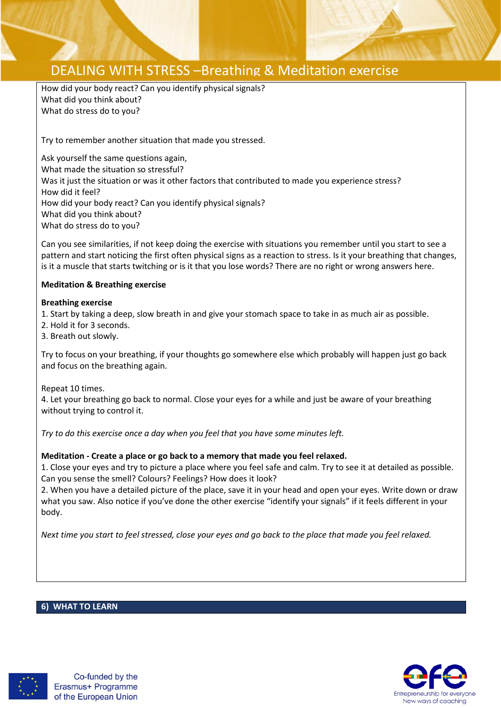

# DEALING WITH STRESS –Breathing & Meditation exercise

How did your body react? Can you identify physical signals? What did you think about? What do stress do to you?

Try to remember another situation that made you stressed.

Ask yourself the same questions again, What made the situation so stressful? Was it just the situation or was it other factors that contributed to made you experience stress? How did it feel? How did your body react? Can you identify physical signals? What did you think about? What do stress do to you?

Can you see similarities, if not keep doing the exercise with situations you remember until you start to see a pattern and start noticing the first often physical signs as a reaction to stress. Is it your breathing that changes, is it a muscle that starts twitching or is it that you lose words? There are no right or wrong answers here.

### **Meditation & Breathing exercise**

#### **Breathing exercise**

1. Start by taking a deep, slow breath in and give your stomach space to take in as much air as possible.

- 2. Hold it for 3 seconds.
- 3. Breath out slowly.

Try to focus on your breathing, if your thoughts go somewhere else which probably will happen just go back and focus on the breathing again.

Repeat 10 times.

4. Let your breathing go back to normal. Close your eyes for a while and just be aware of your breathing without trying to control it.

*Try to do this exercise once a day when you feel that you have some minutes left.*

## **Meditation - Create a place or go back to a memory that made you feel relaxed.**

1. Close your eyes and try to picture a place where you feel safe and calm. Try to see it at detailed as possible. Can you sense the smell? Colours? Feelings? How does it look?

2. When you have a detailed picture of the place, save it in your head and open your eyes. Write down or draw what you saw. Also notice if you've done the other exercise "identify your signals" if it feels different in your body.

*Next time you start to feel stressed, close your eyes and go back to the place that made you feel relaxed.*

#### **6) WHAT TO LEARN**